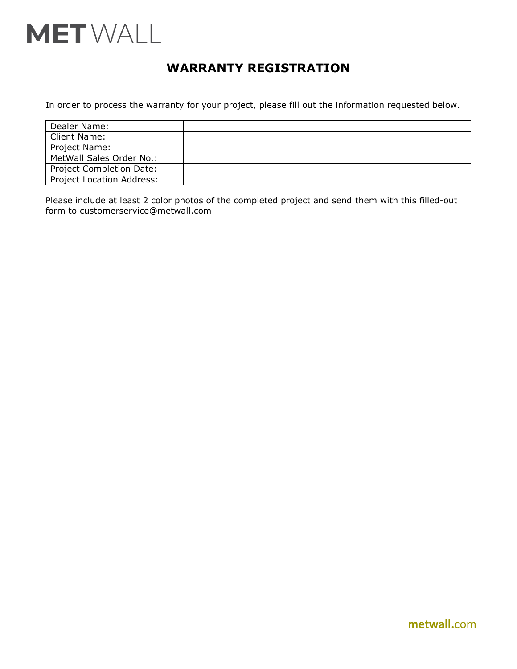

# **WARRANTY REGISTRATION**

In order to process the warranty for your project, please fill out the information requested below.

| Dealer Name:                     |  |
|----------------------------------|--|
| Client Name:                     |  |
| Project Name:                    |  |
| MetWall Sales Order No.:         |  |
| <b>Project Completion Date:</b>  |  |
| <b>Project Location Address:</b> |  |

Please include at least 2 color photos of the completed project and send them with this filled-out form to customerservice@metwall.com

**metwall.**com